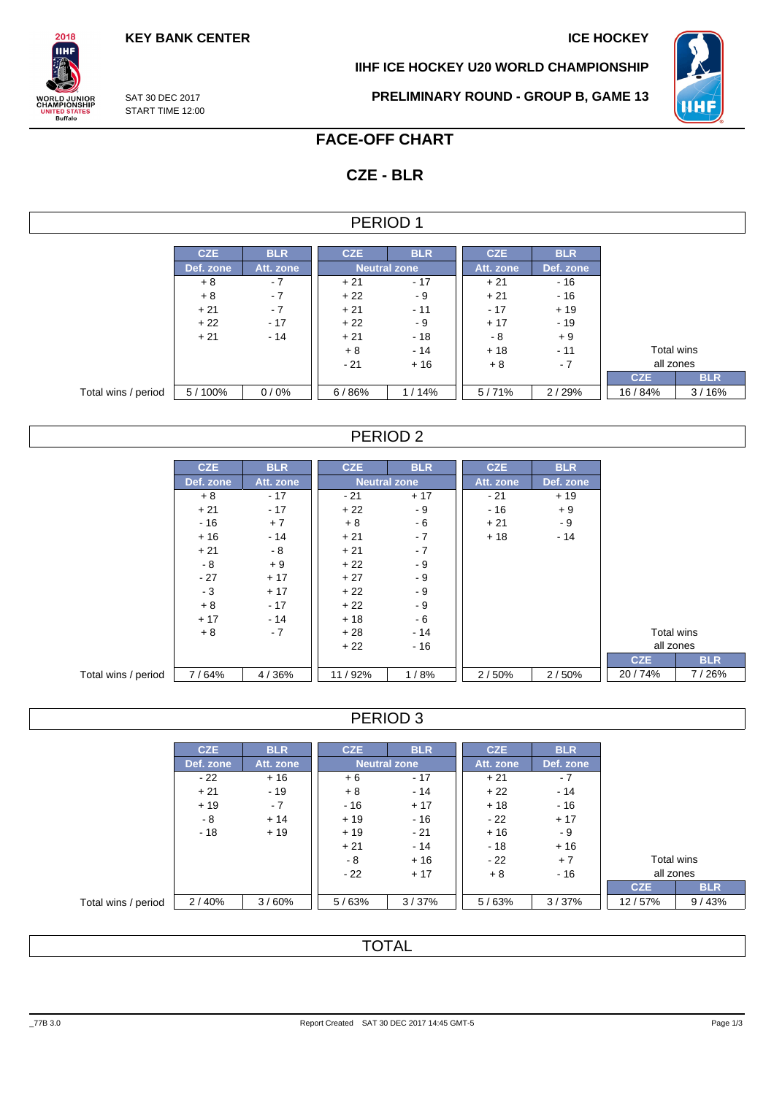**KEY BANK CENTER ICE HOCKEY** 

**IIHF ICE HOCKEY U20 WORLD CHAMPIONSHIP**



SAT 30 DEC 2017 START TIME 12:00

 $2018$ IІHI

**ORLD JUNIOR**<br>HAMPIONSHIP

**ITED STATES**<br>Buffalo

**PRELIMINARY ROUND - GROUP B, GAME 13**

# **FACE-OFF CHART**

# **CZE - BLR**

### PERIOD 1

|                     | <b>CZE</b> | <b>BLR</b> | <b>CZE</b> | <b>BLR</b>          | <b>CZE</b> | <b>BLR</b> |            |            |
|---------------------|------------|------------|------------|---------------------|------------|------------|------------|------------|
|                     | Def. zone  | Att. zone  |            | <b>Neutral zone</b> | Att. zone  | Def. zone  |            |            |
|                     | $+8$       | $-7$       | $+21$      | $-17$               | $+21$      | $-16$      |            |            |
|                     | $+8$       | $-7$       | $+22$      | - 9                 | $+21$      | $-16$      |            |            |
|                     | $+21$      | $-7$       | $+21$      | $-11$               | $-17$      | $+19$      |            |            |
|                     | $+22$      | $-17$      | $+22$      | - 9                 | $+17$      | $-19$      |            |            |
|                     | $+21$      | $-14$      | $+21$      | $-18$               | - 8        | $+9$       |            |            |
|                     |            |            | $+8$       | $-14$               | $+18$      | $-11$      | Total wins |            |
|                     |            |            | $-21$      | $+16$               | $+8$       | $-7$       | all zones  |            |
|                     |            |            |            |                     |            |            | <b>CZE</b> | <b>BLR</b> |
| Total wins / period | 5/100%     | 0/0%       | 6/86%      | 1/14%               | 5/71%      | 2/29%      | 16/84%     | 3/16%      |

## PERIOD 2

|                     | <b>CZE</b> | <b>BLR</b> | <b>CZE</b>          | <b>BLR</b> | <b>CZE</b> | <b>BLR</b> |            |       |
|---------------------|------------|------------|---------------------|------------|------------|------------|------------|-------|
|                     | Def. zone  | Att. zone  | <b>Neutral zone</b> |            | Att. zone  | Def. zone  |            |       |
|                     | $+8$       | $-17$      | $-21$               | $+17$      | $-21$      | $+19$      |            |       |
|                     | $+21$      | $-17$      | $+22$               | - 9        | $-16$      | $+9$       |            |       |
|                     | $-16$      | $+7$       | $+8$                | - 6        | $+21$      | - 9        |            |       |
|                     | $+16$      | $-14$      | $+21$               | $-7$       | $+18$      | $-14$      |            |       |
|                     | $+21$      | - 8        | $+21$               | $-7$       |            |            |            |       |
|                     | - 8        | $+9$       | $+22$               | $-9$       |            |            |            |       |
|                     | $-27$      | $+17$      | $+27$               | $-9$       |            |            |            |       |
|                     | $-3$       | $+17$      | $+22$               | $-9$       |            |            |            |       |
|                     | $+8$       | $-17$      | $+22$               | $-9$       |            |            |            |       |
|                     | $+17$      | $-14$      | $+18$               | $-6$       |            |            |            |       |
|                     | $+8$       | $-7$       | $+28$               | $-14$      |            |            | Total wins |       |
|                     |            |            | $+22$               | $-16$      |            |            | all zones  |       |
|                     |            |            |                     |            |            |            | <b>CZE</b> |       |
| Total wins / period | 7/64%      | 4/36%      | 11/92%              | 1/8%       | 2/50%      | 2/50%      | 20/74%     | 7/26% |

## PERIOD 3

|                     | <b>CZE</b> | <b>BLR</b> | <b>CZE</b> | <b>BLR</b>          | <b>CZE</b> | <b>BLR</b> |            |            |
|---------------------|------------|------------|------------|---------------------|------------|------------|------------|------------|
|                     | Def. zone  | Att. zone  |            | <b>Neutral zone</b> | Att. zone  | Def. zone  |            |            |
|                     | $-22$      | $+16$      | $+6$       | $-17$               | $+21$      | $-7$       |            |            |
|                     | $+21$      | $-19$      | $+8$       | $-14$               | $+22$      | $-14$      |            |            |
|                     | $+19$      | $-7$       | $-16$      | $+17$               | $+18$      | $-16$      |            |            |
|                     | - 8        | $+14$      | $+19$      | - 16                | $-22$      | $+17$      |            |            |
|                     | $-18$      | $+19$      | $+19$      | $-21$               | $+16$      | - 9        |            |            |
|                     |            |            | $+21$      | $-14$               | $-18$      | $+16$      |            |            |
|                     |            |            | - 8        | $+16$               | $-22$      | $+7$       |            | Total wins |
|                     |            |            | $-22$      | $+17$               | $+8$       | - 16       | all zones  |            |
|                     |            |            |            |                     |            |            | <b>CZE</b> | <b>BLR</b> |
| Total wins / period | 2/40%      | 3/60%      | 5/63%      | 3/37%               | 5/63%      | 3/37%      | 12/57%     | 9/43%      |

## **TOTAL**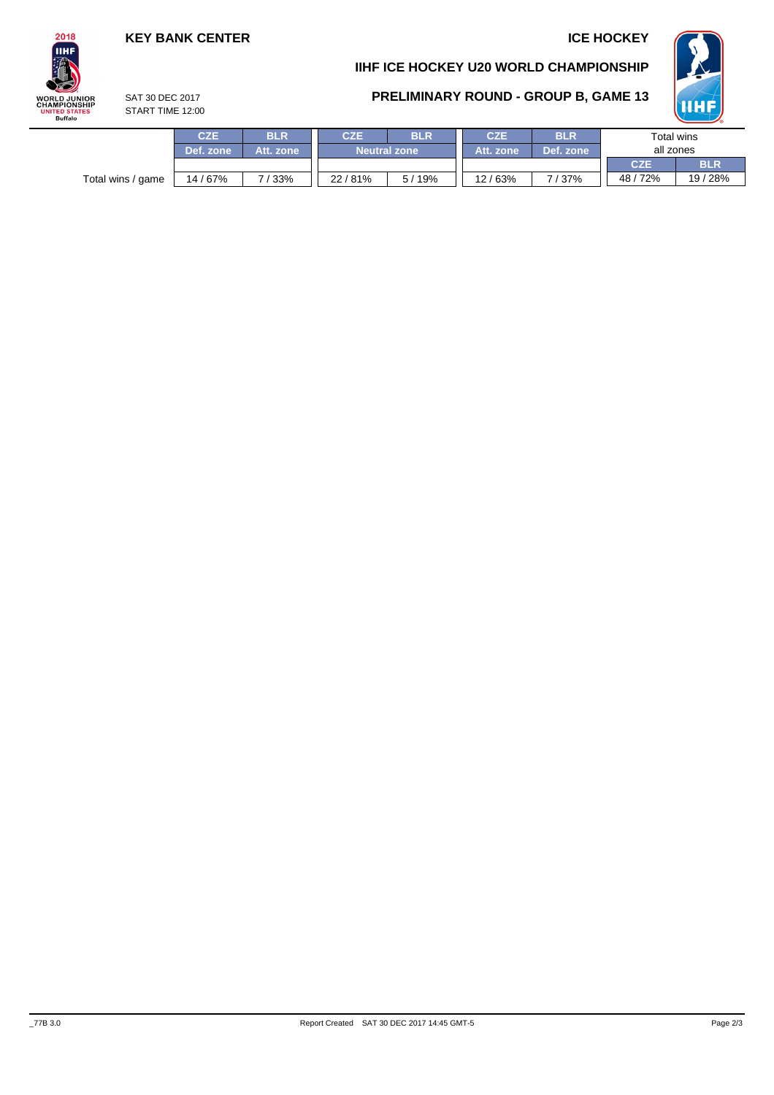## **KEY BANK CENTER ICE HOCKEY**

# **IIHF ICE HOCKEY U20 WORLD CHAMPIONSHIP**



# **PRELIMINARY ROUND - GROUP B, GAME 13**

SAT 30 DEC 2017 START TIME 12:00

|                   |            |            |                     |       |            |            |            | $\sim$     |  |  |
|-------------------|------------|------------|---------------------|-------|------------|------------|------------|------------|--|--|
|                   | <b>CZE</b> | <b>BLR</b> | <b>CZE</b>          | BLR   | <b>CZE</b> | <b>BLR</b> | Total wins |            |  |  |
|                   | Def. zone  | Att. zone  | <b>Neutral zone</b> |       | Att. zone  | Def. zone  | all zones  |            |  |  |
|                   |            |            |                     |       |            |            | <b>CZE</b> | <b>BLR</b> |  |  |
| Total wins / game | 14 / 67%   | 133%       | 22/81%              | 5/19% | 12/63%     | 7/37%      | 48/72%     | 19 / 28%   |  |  |